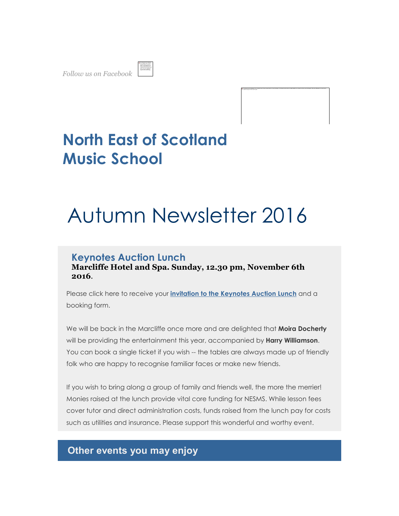*Follow us on Facebook* 



# The lease current be displayed. Your computer may not have enough memory to coam the lease, or the lease may have been corructed, festert your computer unot then coam the file and a till do not a split amount, you may huse delete the image and then insert it again.

# **North East of Scotland Music School**

# Autumn Newsletter 2016

# **Keynotes Auction Lunch**

**Marcliffe Hotel and Spa. Sunday, 12.30 pm, November 6th 2016**.

Please click here to receive your **invitation to the Keynotes Auction Lunch** and a booking form.

We will be back in the Marcliffe once more and are delighted that **Moira Docherty** will be providing the entertainment this year, accompanied by **Harry Williamson**. You can book a single ticket if you wish -- the tables are always made up of friendly folk who are happy to recognise familiar faces or make new friends.

If you wish to bring along a group of family and friends well, the more the merrier! Monies raised at the lunch provide vital core funding for NESMS. While lesson fees cover tutor and direct administration costs, funds raised from the lunch pay for costs such as utilities and insurance. Please support this wonderful and worthy event.

# **Other events you may enjoy**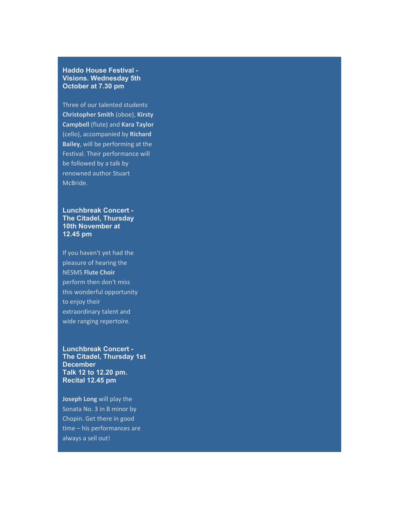#### **Haddo House Festival - Visions. Wednesday 5th October at 7.30 pm**

Three of our talented students **Christopher Smith** (oboe), **Kirsty Campbell** (flute) and **Kara Taylor** (cello), accompanied by **Richard Bailey**, will be performing at the Festival. Their performance will be followed by a talk by renowned author Stuart McBride.

**Lunchbreak Concert - The Citadel, Thursday 10th November at 12.45 pm**

If you haven't yet had the pleasure of hearing the NESMS **Flute Choir** perform then don't miss this wonderful opportunity to enjoy their extraordinary talent and wide ranging repertoire.

**Lunchbreak Concert - The Citadel, Thursday 1st December Talk 12 to 12.20 pm. Recital 12.45 pm**

**Joseph Long** will play the Sonata No. 3 in B minor by Chopin. Get there in good time – his performances are always a sell out!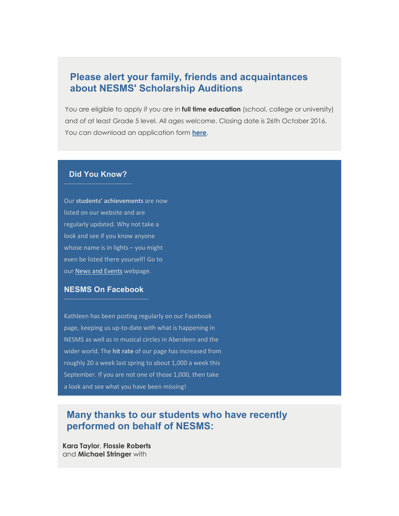# **Please alert your family, friends and acquaintances about NESMS' Scholarship Auditions**

You are eligible to apply if you are in **full time education** (school, college or university) and of at least Grade 5 level. All ages welcome. Closing date is 26th October 2016. You can download an application form **here**.

#### **Did You Know?**

Our **students' achievements** are now listed on our website and are regularly updated. Why not take a look and see if you know anyone whose name is in lights - you might even be listed there yourself! Go to our News and Events webpage.

#### **NESMS On Facebook**

Kathleen has been posting regularly on our Facebook page, keeping us up-to-date with what is happening in NESMS as well as in musical circles in Aberdeen and the wider world. The **hit rate** of our page has increased from roughly 20 a week last spring to about 1,000 a week this September. If you are not one of those 1,000, then take a look and see what you have been missing!

## **Many thanks to our students who have recently performed on behalf of NESMS:**

**Kara Taylor**, **Flossie Roberts** and **Michael Stringer** with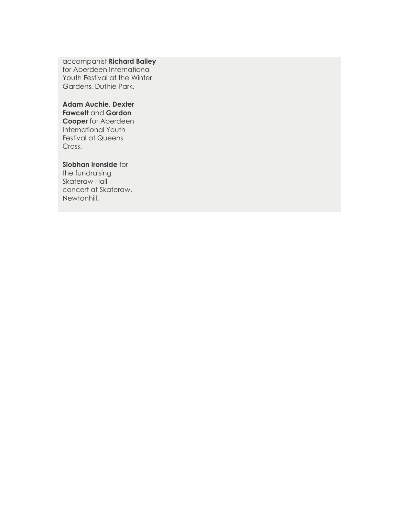accompanist **Richard Bailey** for Aberdeen International Youth Festival at the Winter Gardens, Duthie Park.

#### **Adam Auchie**, **Dexter Fawcett** and **Gordon Cooper** for Aberdeen International Youth Festival at Queens Cross.

#### **Siobhan Ironside** for

the fundraising Skateraw Hall concert at Skateraw, Newtonhill.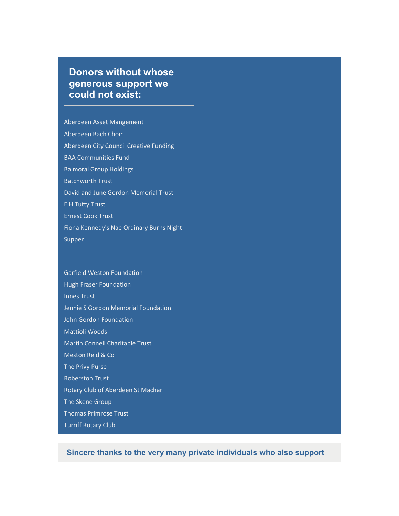# **Donors without whose generous support we could not exist:**

Aberdeen Asset Mangement Aberdeen Bach Choir Aberdeen City Council Creative Funding BAA Communities Fund Balmoral Group Holdings Batchworth Trust David and June Gordon Memorial Trust E H Tutty Trust Ernest Cook Trust Fiona Kennedy's Nae Ordinary Burns Night Supper

# Garfield Weston Foundation

Hugh Fraser Foundation Innes Trust Jennie S Gordon Memorial Foundation John Gordon Foundation Mattioli Woods Martin Connell Charitable Trust Meston Reid & Co The Privy Purse Roberston Trust Rotary Club of Aberdeen St Machar The Skene Group Thomas Primrose Trust Turriff Rotary Club

**Sincere thanks to the very many private individuals who also support**